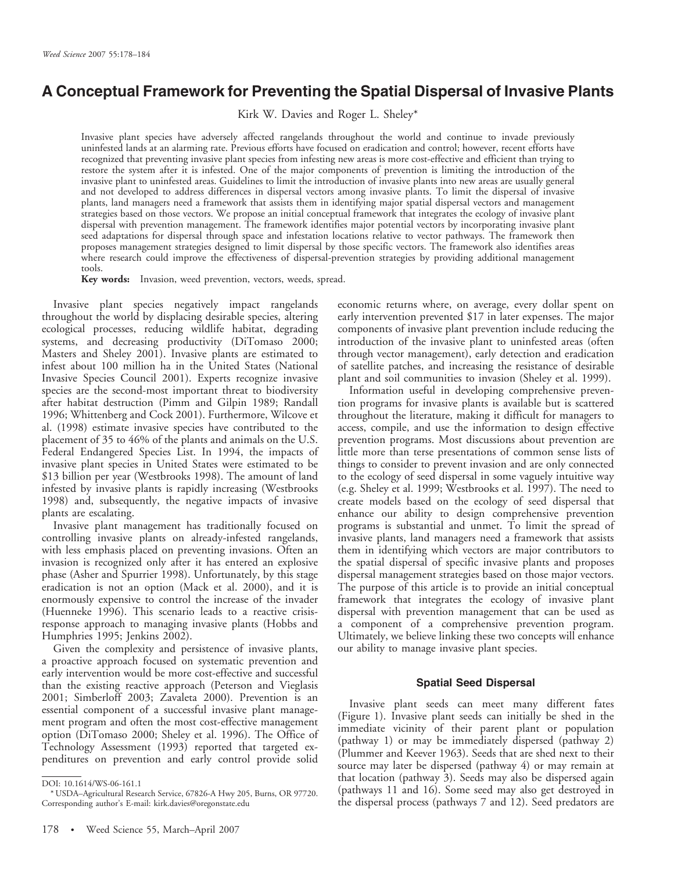# A Conceptual Framework for Preventing the Spatial Dispersal of Invasive Plants

Kirk W. Davies and Roger L. Sheley\*

Invasive plant species have adversely affected rangelands throughout the world and continue to invade previously uninfested lands at an alarming rate. Previous efforts have focused on eradication and control; however, recent efforts have recognized that preventing invasive plant species from infesting new areas is more cost-effective and efficient than trying to restore the system after it is infested. One of the major components of prevention is limiting the introduction of the invasive plant to uninfested areas. Guidelines to limit the introduction of invasive plants into new areas are usually general and not developed to address differences in dispersal vectors among invasive plants. To limit the dispersal of invasive plants, land managers need a framework that assists them in identifying major spatial dispersal vectors and management strategies based on those vectors. We propose an initial conceptual framework that integrates the ecology of invasive plant dispersal with prevention management. The framework identifies major potential vectors by incorporating invasive plant seed adaptations for dispersal through space and infestation locations relative to vector pathways. The framework then proposes management strategies designed to limit dispersal by those specific vectors. The framework also identifies areas where research could improve the effectiveness of dispersal-prevention strategies by providing additional management tools.

Key words: Invasion, weed prevention, vectors, weeds, spread.

Invasive plant species negatively impact rangelands throughout the world by displacing desirable species, altering ecological processes, reducing wildlife habitat, degrading systems, and decreasing productivity (DiTomaso 2000; Masters and Sheley 2001). Invasive plants are estimated to infest about 100 million ha in the United States (National Invasive Species Council 2001). Experts recognize invasive species are the second-most important threat to biodiversity after habitat destruction (Pimm and Gilpin 1989; Randall 1996; Whittenberg and Cock 2001). Furthermore, Wilcove et al. (1998) estimate invasive species have contributed to the placement of 35 to 46% of the plants and animals on the U.S. Federal Endangered Species List. In 1994, the impacts of invasive plant species in United States were estimated to be \$13 billion per year (Westbrooks 1998). The amount of land infested by invasive plants is rapidly increasing (Westbrooks 1998) and, subsequently, the negative impacts of invasive plants are escalating.

Invasive plant management has traditionally focused on controlling invasive plants on already-infested rangelands, with less emphasis placed on preventing invasions. Often an invasion is recognized only after it has entered an explosive phase (Asher and Spurrier 1998). Unfortunately, by this stage eradication is not an option (Mack et al. 2000), and it is enormously expensive to control the increase of the invader (Huenneke 1996). This scenario leads to a reactive crisisresponse approach to managing invasive plants (Hobbs and Humphries 1995; Jenkins 2002).

Given the complexity and persistence of invasive plants, a proactive approach focused on systematic prevention and early intervention would be more cost-effective and successful than the existing reactive approach (Peterson and Vieglasis 2001; Simberloff 2003; Zavaleta 2000). Prevention is an essential component of a successful invasive plant management program and often the most cost-effective management option (DiTomaso 2000; Sheley et al. 1996). The Office of Technology Assessment (1993) reported that targeted expenditures on prevention and early control provide solid

economic returns where, on average, every dollar spent on early intervention prevented \$17 in later expenses. The major components of invasive plant prevention include reducing the introduction of the invasive plant to uninfested areas (often through vector management), early detection and eradication of satellite patches, and increasing the resistance of desirable plant and soil communities to invasion (Sheley et al. 1999).

Information useful in developing comprehensive prevention programs for invasive plants is available but is scattered throughout the literature, making it difficult for managers to access, compile, and use the information to design effective prevention programs. Most discussions about prevention are little more than terse presentations of common sense lists of things to consider to prevent invasion and are only connected to the ecology of seed dispersal in some vaguely intuitive way (e.g. Sheley et al. 1999; Westbrooks et al. 1997). The need to create models based on the ecology of seed dispersal that enhance our ability to design comprehensive prevention programs is substantial and unmet. To limit the spread of invasive plants, land managers need a framework that assists them in identifying which vectors are major contributors to the spatial dispersal of specific invasive plants and proposes dispersal management strategies based on those major vectors. The purpose of this article is to provide an initial conceptual framework that integrates the ecology of invasive plant dispersal with prevention management that can be used as a component of a comprehensive prevention program. Ultimately, we believe linking these two concepts will enhance our ability to manage invasive plant species.

#### Spatial Seed Dispersal

Invasive plant seeds can meet many different fates (Figure 1). Invasive plant seeds can initially be shed in the immediate vicinity of their parent plant or population (pathway 1) or may be immediately dispersed (pathway 2) (Plummer and Keever 1963). Seeds that are shed next to their source may later be dispersed (pathway 4) or may remain at that location (pathway 3). Seeds may also be dispersed again (pathways 11 and 16). Some seed may also get destroyed in the dispersal process (pathways 7 and 12). Seed predators are

DOI: 10.1614/WS-06-161.1

<sup>\*</sup> USDA–Agricultural Research Service, 67826-A Hwy 205, Burns, OR 97720. Corresponding author's E-mail: kirk.davies@oregonstate.edu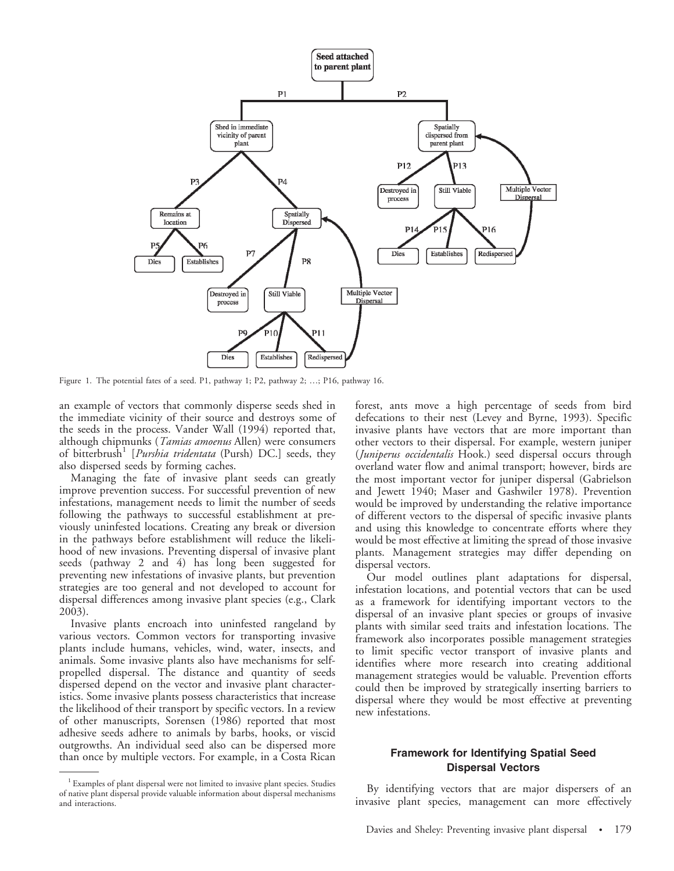

Figure 1. The potential fates of a seed. P1, pathway 1; P2, pathway 2; …; P16, pathway 16.

an example of vectors that commonly disperse seeds shed in the immediate vicinity of their source and destroys some of the seeds in the process. Vander Wall (1994) reported that, although chipmunks (Tamias amoenus Allen) were consumers of bitterbrush<sup>1</sup> [*Purshia tridentata* (Pursh) DC.] seeds, they also dispersed seeds by forming caches.

Managing the fate of invasive plant seeds can greatly improve prevention success. For successful prevention of new infestations, management needs to limit the number of seeds following the pathways to successful establishment at previously uninfested locations. Creating any break or diversion in the pathways before establishment will reduce the likelihood of new invasions. Preventing dispersal of invasive plant seeds (pathway 2 and 4) has long been suggested for preventing new infestations of invasive plants, but prevention strategies are too general and not developed to account for dispersal differences among invasive plant species (e.g., Clark 2003).

Invasive plants encroach into uninfested rangeland by various vectors. Common vectors for transporting invasive plants include humans, vehicles, wind, water, insects, and animals. Some invasive plants also have mechanisms for selfpropelled dispersal. The distance and quantity of seeds dispersed depend on the vector and invasive plant characteristics. Some invasive plants possess characteristics that increase the likelihood of their transport by specific vectors. In a review of other manuscripts, Sorensen (1986) reported that most adhesive seeds adhere to animals by barbs, hooks, or viscid outgrowths. An individual seed also can be dispersed more than once by multiple vectors. For example, in a Costa Rican forest, ants move a high percentage of seeds from bird defecations to their nest (Levey and Byrne, 1993). Specific invasive plants have vectors that are more important than other vectors to their dispersal. For example, western juniper (Juniperus occidentalis Hook.) seed dispersal occurs through overland water flow and animal transport; however, birds are the most important vector for juniper dispersal (Gabrielson and Jewett 1940; Maser and Gashwiler 1978). Prevention would be improved by understanding the relative importance of different vectors to the dispersal of specific invasive plants and using this knowledge to concentrate efforts where they would be most effective at limiting the spread of those invasive plants. Management strategies may differ depending on dispersal vectors.

Our model outlines plant adaptations for dispersal, infestation locations, and potential vectors that can be used as a framework for identifying important vectors to the dispersal of an invasive plant species or groups of invasive plants with similar seed traits and infestation locations. The framework also incorporates possible management strategies to limit specific vector transport of invasive plants and identifies where more research into creating additional management strategies would be valuable. Prevention efforts could then be improved by strategically inserting barriers to dispersal where they would be most effective at preventing new infestations.

## Framework for Identifying Spatial Seed Dispersal Vectors

By identifying vectors that are major dispersers of an invasive plant species, management can more effectively

<sup>&</sup>lt;sup>1</sup> Examples of plant dispersal were not limited to invasive plant species. Studies of native plant dispersal provide valuable information about dispersal mechanisms and interactions.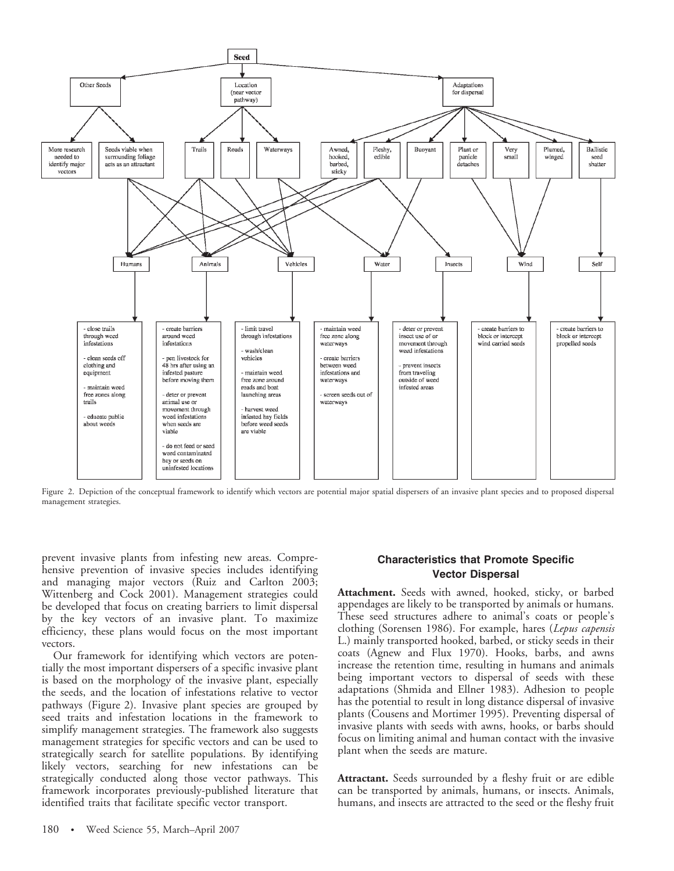

Figure 2. Depiction of the conceptual framework to identify which vectors are potential major spatial dispersers of an invasive plant species and to proposed dispersal management strategies.

prevent invasive plants from infesting new areas. Comprehensive prevention of invasive species includes identifying and managing major vectors (Ruiz and Carlton 2003; Wittenberg and Cock 2001). Management strategies could be developed that focus on creating barriers to limit dispersal by the key vectors of an invasive plant. To maximize efficiency, these plans would focus on the most important vectors.

Our framework for identifying which vectors are potentially the most important dispersers of a specific invasive plant is based on the morphology of the invasive plant, especially the seeds, and the location of infestations relative to vector pathways (Figure 2). Invasive plant species are grouped by seed traits and infestation locations in the framework to simplify management strategies. The framework also suggests management strategies for specific vectors and can be used to strategically search for satellite populations. By identifying likely vectors, searching for new infestations can be strategically conducted along those vector pathways. This framework incorporates previously-published literature that identified traits that facilitate specific vector transport.

# Characteristics that Promote Specific Vector Dispersal

Attachment. Seeds with awned, hooked, sticky, or barbed appendages are likely to be transported by animals or humans. These seed structures adhere to animal's coats or people's clothing (Sorensen 1986). For example, hares (Lepus capensis L.) mainly transported hooked, barbed, or sticky seeds in their coats (Agnew and Flux 1970). Hooks, barbs, and awns increase the retention time, resulting in humans and animals being important vectors to dispersal of seeds with these adaptations (Shmida and Ellner 1983). Adhesion to people has the potential to result in long distance dispersal of invasive plants (Cousens and Mortimer 1995). Preventing dispersal of invasive plants with seeds with awns, hooks, or barbs should focus on limiting animal and human contact with the invasive plant when the seeds are mature.

Attractant. Seeds surrounded by a fleshy fruit or are edible can be transported by animals, humans, or insects. Animals, humans, and insects are attracted to the seed or the fleshy fruit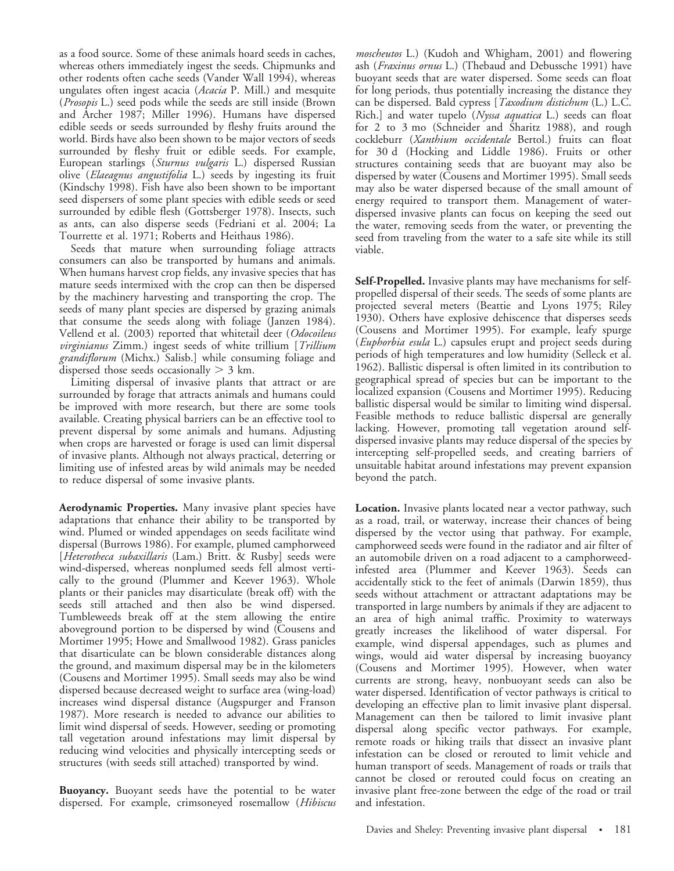as a food source. Some of these animals hoard seeds in caches, whereas others immediately ingest the seeds. Chipmunks and other rodents often cache seeds (Vander Wall 1994), whereas ungulates often ingest acacia (Acacia P. Mill.) and mesquite (Prosopis L.) seed pods while the seeds are still inside (Brown and Archer 1987; Miller 1996). Humans have dispersed edible seeds or seeds surrounded by fleshy fruits around the world. Birds have also been shown to be major vectors of seeds surrounded by fleshy fruit or edible seeds. For example, European starlings (Sturnus vulgaris L.) dispersed Russian olive (Elaeagnus angustifolia L.) seeds by ingesting its fruit (Kindschy 1998). Fish have also been shown to be important seed dispersers of some plant species with edible seeds or seed surrounded by edible flesh (Gottsberger 1978). Insects, such as ants, can also disperse seeds (Fedriani et al. 2004; La Tourrette et al. 1971; Roberts and Heithaus 1986).

Seeds that mature when surrounding foliage attracts consumers can also be transported by humans and animals. When humans harvest crop fields, any invasive species that has mature seeds intermixed with the crop can then be dispersed by the machinery harvesting and transporting the crop. The seeds of many plant species are dispersed by grazing animals that consume the seeds along with foliage (Janzen 1984). Vellend et al. (2003) reported that whitetail deer (Odocoileus virginianus Zimm.) ingest seeds of white trillium [Trillium grandiflorum (Michx.) Salisb.] while consuming foliage and dispersed those seeds occasionally  $>$  3 km.

Limiting dispersal of invasive plants that attract or are surrounded by forage that attracts animals and humans could be improved with more research, but there are some tools available. Creating physical barriers can be an effective tool to prevent dispersal by some animals and humans. Adjusting when crops are harvested or forage is used can limit dispersal of invasive plants. Although not always practical, deterring or limiting use of infested areas by wild animals may be needed to reduce dispersal of some invasive plants.

Aerodynamic Properties. Many invasive plant species have adaptations that enhance their ability to be transported by wind. Plumed or winded appendages on seeds facilitate wind dispersal (Burrows 1986). For example, plumed camphorweed [Heterotheca subaxillaris (Lam.) Britt. & Rusby] seeds were wind-dispersed, whereas nonplumed seeds fell almost vertically to the ground (Plummer and Keever 1963). Whole plants or their panicles may disarticulate (break off) with the seeds still attached and then also be wind dispersed. Tumbleweeds break off at the stem allowing the entire aboveground portion to be dispersed by wind (Cousens and Mortimer 1995; Howe and Smallwood 1982). Grass panicles that disarticulate can be blown considerable distances along the ground, and maximum dispersal may be in the kilometers (Cousens and Mortimer 1995). Small seeds may also be wind dispersed because decreased weight to surface area (wing-load) increases wind dispersal distance (Augspurger and Franson 1987). More research is needed to advance our abilities to limit wind dispersal of seeds. However, seeding or promoting tall vegetation around infestations may limit dispersal by reducing wind velocities and physically intercepting seeds or structures (with seeds still attached) transported by wind.

Buoyancy. Buoyant seeds have the potential to be water dispersed. For example, crimsoneyed rosemallow (*Hibiscus*  moscheutos L.) (Kudoh and Whigham, 2001) and flowering ash (Fraxinus ornus L.) (Thebaud and Debussche 1991) have buoyant seeds that are water dispersed. Some seeds can float for long periods, thus potentially increasing the distance they can be dispersed. Bald cypress [Taxodium distichum (L.) L.C. Rich.] and water tupelo (Nyssa aquatica L.) seeds can float for 2 to 3 mo (Schneider and Sharitz 1988), and rough cockleburr (Xanthium occidentale Bertol.) fruits can float for 30 d (Hocking and Liddle 1986). Fruits or other structures containing seeds that are buoyant may also be dispersed by water (Cousens and Mortimer 1995). Small seeds may also be water dispersed because of the small amount of energy required to transport them. Management of waterdispersed invasive plants can focus on keeping the seed out the water, removing seeds from the water, or preventing the seed from traveling from the water to a safe site while its still viable.

Self-Propelled. Invasive plants may have mechanisms for selfpropelled dispersal of their seeds. The seeds of some plants are projected several meters (Beattie and Lyons 1975; Riley 1930). Others have explosive dehiscence that disperses seeds (Cousens and Mortimer 1995). For example, leafy spurge (Euphorbia esula L.) capsules erupt and project seeds during periods of high temperatures and low humidity (Selleck et al. 1962). Ballistic dispersal is often limited in its contribution to geographical spread of species but can be important to the localized expansion (Cousens and Mortimer 1995). Reducing ballistic dispersal would be similar to limiting wind dispersal. Feasible methods to reduce ballistic dispersal are generally lacking. However, promoting tall vegetation around selfdispersed invasive plants may reduce dispersal of the species by intercepting self-propelled seeds, and creating barriers of unsuitable habitat around infestations may prevent expansion beyond the patch.

Location. Invasive plants located near a vector pathway, such as a road, trail, or waterway, increase their chances of being dispersed by the vector using that pathway. For example, camphorweed seeds were found in the radiator and air filter of an automobile driven on a road adjacent to a camphorweedinfested area (Plummer and Keever 1963). Seeds can accidentally stick to the feet of animals (Darwin 1859), thus seeds without attachment or attractant adaptations may be transported in large numbers by animals if they are adjacent to an area of high animal traffic. Proximity to waterways greatly increases the likelihood of water dispersal. For example, wind dispersal appendages, such as plumes and wings, would aid water dispersal by increasing buoyancy (Cousens and Mortimer 1995). However, when water currents are strong, heavy, nonbuoyant seeds can also be water dispersed. Identification of vector pathways is critical to developing an effective plan to limit invasive plant dispersal. Management can then be tailored to limit invasive plant dispersal along specific vector pathways. For example, remote roads or hiking trails that dissect an invasive plant infestation can be closed or rerouted to limit vehicle and human transport of seeds. Management of roads or trails that cannot be closed or rerouted could focus on creating an invasive plant free-zone between the edge of the road or trail and infestation.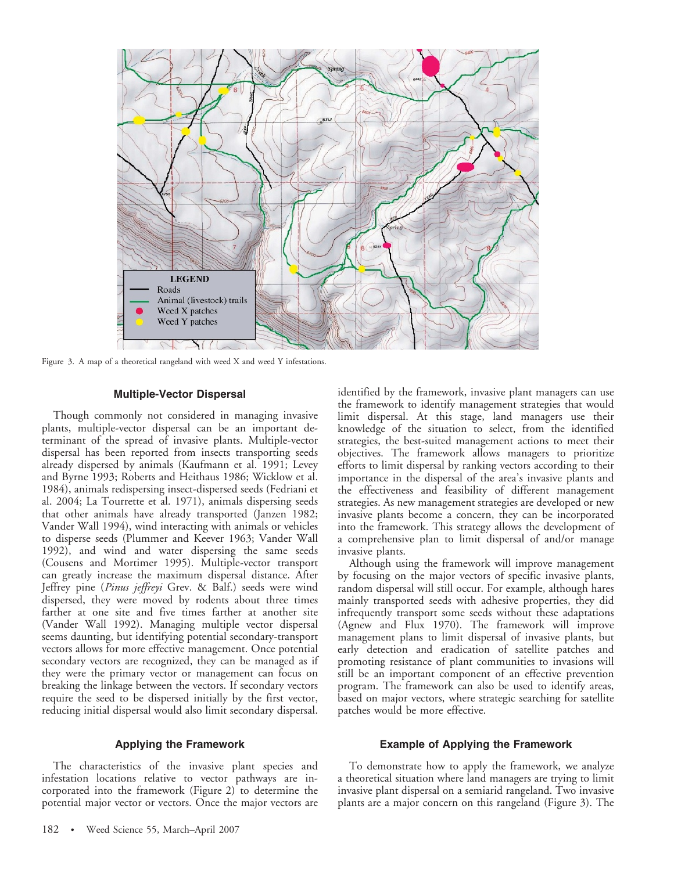

Figure 3. A map of a theoretical rangeland with weed X and weed Y infestations.

#### Multiple-Vector Dispersal

Though commonly not considered in managing invasive plants, multiple-vector dispersal can be an important determinant of the spread of invasive plants. Multiple-vector dispersal has been reported from insects transporting seeds already dispersed by animals (Kaufmann et al. 1991; Levey and Byrne 1993; Roberts and Heithaus 1986; Wicklow et al. 1984), animals redispersing insect-dispersed seeds (Fedriani et al. 2004; La Tourrette et al. 1971), animals dispersing seeds that other animals have already transported (Janzen 1982; Vander Wall 1994), wind interacting with animals or vehicles to disperse seeds (Plummer and Keever 1963; Vander Wall 1992), and wind and water dispersing the same seeds (Cousens and Mortimer 1995). Multiple-vector transport can greatly increase the maximum dispersal distance. After Jeffrey pine (Pinus jeffreyi Grev. & Balf.) seeds were wind dispersed, they were moved by rodents about three times farther at one site and five times farther at another site (Vander Wall 1992). Managing multiple vector dispersal seems daunting, but identifying potential secondary-transport vectors allows for more effective management. Once potential secondary vectors are recognized, they can be managed as if they were the primary vector or management can focus on breaking the linkage between the vectors. If secondary vectors require the seed to be dispersed initially by the first vector, reducing initial dispersal would also limit secondary dispersal.

## Applying the Framework

The characteristics of the invasive plant species and infestation locations relative to vector pathways are incorporated into the framework (Figure 2) to determine the potential major vector or vectors. Once the major vectors are

identified by the framework, invasive plant managers can use the framework to identify management strategies that would limit dispersal. At this stage, land managers use their knowledge of the situation to select, from the identified strategies, the best-suited management actions to meet their objectives. The framework allows managers to prioritize efforts to limit dispersal by ranking vectors according to their importance in the dispersal of the area's invasive plants and the effectiveness and feasibility of different management strategies. As new management strategies are developed or new invasive plants become a concern, they can be incorporated into the framework. This strategy allows the development of a comprehensive plan to limit dispersal of and/or manage invasive plants.

Although using the framework will improve management by focusing on the major vectors of specific invasive plants, random dispersal will still occur. For example, although hares mainly transported seeds with adhesive properties, they did infrequently transport some seeds without these adaptations (Agnew and Flux 1970). The framework will improve management plans to limit dispersal of invasive plants, but early detection and eradication of satellite patches and promoting resistance of plant communities to invasions will still be an important component of an effective prevention program. The framework can also be used to identify areas, based on major vectors, where strategic searching for satellite patches would be more effective.

## Example of Applying the Framework

To demonstrate how to apply the framework, we analyze a theoretical situation where land managers are trying to limit invasive plant dispersal on a semiarid rangeland. Two invasive plants are a major concern on this rangeland (Figure 3). The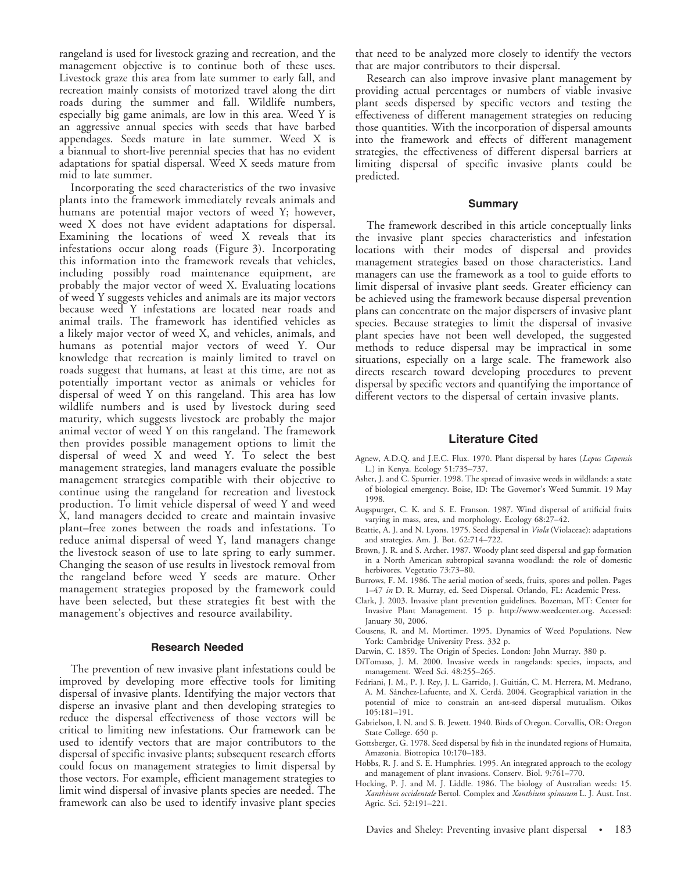rangeland is used for livestock grazing and recreation, and the management objective is to continue both of these uses. Livestock graze this area from late summer to early fall, and recreation mainly consists of motorized travel along the dirt roads during the summer and fall. Wildlife numbers, especially big game animals, are low in this area. Weed Y is an aggressive annual species with seeds that have barbed appendages. Seeds mature in late summer. Weed X is a biannual to short-live perennial species that has no evident adaptations for spatial dispersal. Weed X seeds mature from mid to late summer.

Incorporating the seed characteristics of the two invasive plants into the framework immediately reveals animals and humans are potential major vectors of weed Y; however, weed X does not have evident adaptations for dispersal. Examining the locations of weed X reveals that its infestations occur along roads (Figure 3). Incorporating this information into the framework reveals that vehicles, including possibly road maintenance equipment, are probably the major vector of weed X. Evaluating locations of weed Y suggests vehicles and animals are its major vectors because weed Y infestations are located near roads and animal trails. The framework has identified vehicles as a likely major vector of weed X, and vehicles, animals, and humans as potential major vectors of weed Y. Our knowledge that recreation is mainly limited to travel on roads suggest that humans, at least at this time, are not as potentially important vector as animals or vehicles for dispersal of weed Y on this rangeland. This area has low wildlife numbers and is used by livestock during seed maturity, which suggests livestock are probably the major animal vector of weed Y on this rangeland. The framework then provides possible management options to limit the dispersal of weed X and weed Y. To select the best management strategies, land managers evaluate the possible management strategies compatible with their objective to continue using the rangeland for recreation and livestock production. To limit vehicle dispersal of weed Y and weed X, land managers decided to create and maintain invasive plant–free zones between the roads and infestations. To reduce animal dispersal of weed Y, land managers change the livestock season of use to late spring to early summer. Changing the season of use results in livestock removal from the rangeland before weed Y seeds are mature. Other management strategies proposed by the framework could have been selected, but these strategies fit best with the management's objectives and resource availability.

#### Research Needed

The prevention of new invasive plant infestations could be improved by developing more effective tools for limiting dispersal of invasive plants. Identifying the major vectors that disperse an invasive plant and then developing strategies to reduce the dispersal effectiveness of those vectors will be critical to limiting new infestations. Our framework can be used to identify vectors that are major contributors to the dispersal of specific invasive plants; subsequent research efforts could focus on management strategies to limit dispersal by those vectors. For example, efficient management strategies to limit wind dispersal of invasive plants species are needed. The framework can also be used to identify invasive plant species that need to be analyzed more closely to identify the vectors that are major contributors to their dispersal.

Research can also improve invasive plant management by providing actual percentages or numbers of viable invasive plant seeds dispersed by specific vectors and testing the effectiveness of different management strategies on reducing those quantities. With the incorporation of dispersal amounts into the framework and effects of different management strategies, the effectiveness of different dispersal barriers at limiting dispersal of specific invasive plants could be predicted.

#### **Summary**

The framework described in this article conceptually links the invasive plant species characteristics and infestation locations with their modes of dispersal and provides management strategies based on those characteristics. Land managers can use the framework as a tool to guide efforts to limit dispersal of invasive plant seeds. Greater efficiency can be achieved using the framework because dispersal prevention plans can concentrate on the major dispersers of invasive plant species. Because strategies to limit the dispersal of invasive plant species have not been well developed, the suggested methods to reduce dispersal may be impractical in some situations, especially on a large scale. The framework also directs research toward developing procedures to prevent dispersal by specific vectors and quantifying the importance of different vectors to the dispersal of certain invasive plants.

### Literature Cited

- Agnew, A.D.Q. and J.E.C. Flux. 1970. Plant dispersal by hares (Lepus Capensis L.) in Kenya. Ecology 51:735–737.
- Asher, J. and C. Spurrier. 1998. The spread of invasive weeds in wildlands: a state of biological emergency. Boise, ID: The Governor's Weed Summit. 19 May 1998.
- Augspurger, C. K. and S. E. Franson. 1987. Wind dispersal of artificial fruits varying in mass, area, and morphology. Ecology 68:27–42.
- Beattie, A. J. and N. Lyons. 1975. Seed dispersal in Viola (Violaceae): adaptations and strategies. Am. J. Bot. 62:714–722.
- Brown, J. R. and S. Archer. 1987. Woody plant seed dispersal and gap formation in a North American subtropical savanna woodland: the role of domestic herbivores. Vegetatio 73:73–80.
- Burrows, F. M. 1986. The aerial motion of seeds, fruits, spores and pollen. Pages 1–47 in D. R. Murray, ed. Seed Dispersal. Orlando, FL: Academic Press.
- Clark, J. 2003. Invasive plant prevention guidelines. Bozeman, MT: Center for Invasive Plant Management. 15 p. http://www.weedcenter.org. Accessed: January 30, 2006.
- Cousens, R. and M. Mortimer. 1995. Dynamics of Weed Populations. New York: Cambridge University Press. 332 p.
- Darwin, C. 1859. The Origin of Species. London: John Murray. 380 p.
- DiTomaso, J. M. 2000. Invasive weeds in rangelands: species, impacts, and management. Weed Sci. 48:255–265.
- Fedriani, J. M., P. J. Rey, J. L. Garrido, J. Guitián, C. M. Herrera, M. Medrano, A. M. Sánchez-Lafuente, and X. Cerdá. 2004. Geographical variation in the potential of mice to constrain an ant-seed dispersal mutualism. Oikos 105:181–191.
- Gabrielson, I. N. and S. B. Jewett. 1940. Birds of Oregon. Corvallis, OR: Oregon State College. 650 p.
- Gottsberger, G. 1978. Seed dispersal by fish in the inundated regions of Humaita, Amazonia. Biotropica 10:170–183.
- Hobbs, R. J. and S. E. Humphries. 1995. An integrated approach to the ecology and management of plant invasions. Conserv. Biol. 9:761–770.
- Hocking, P. J. and M. J. Liddle. 1986. The biology of Australian weeds: 15. Xanthium occidentale Bertol. Complex and Xanthium spinosum L. J. Aust. Inst. Agric. Sci. 52:191–221.